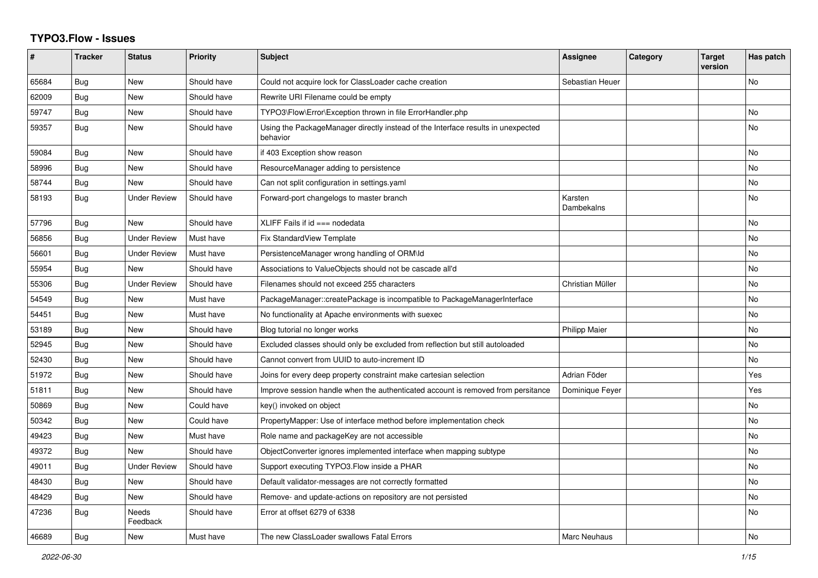## **TYPO3.Flow - Issues**

| #     | <b>Tracker</b> | <b>Status</b>            | <b>Priority</b> | <b>Subject</b>                                                                               | <b>Assignee</b>       | Category | <b>Target</b><br>version | Has patch      |
|-------|----------------|--------------------------|-----------------|----------------------------------------------------------------------------------------------|-----------------------|----------|--------------------------|----------------|
| 65684 | Bug            | New                      | Should have     | Could not acquire lock for ClassLoader cache creation                                        | Sebastian Heuer       |          |                          | No             |
| 62009 | Bug            | New                      | Should have     | Rewrite URI Filename could be empty                                                          |                       |          |                          |                |
| 59747 | Bug            | <b>New</b>               | Should have     | TYPO3\Flow\Error\Exception thrown in file ErrorHandler.php                                   |                       |          |                          | <b>No</b>      |
| 59357 | <b>Bug</b>     | <b>New</b>               | Should have     | Using the PackageManager directly instead of the Interface results in unexpected<br>behavior |                       |          |                          | N <sub>o</sub> |
| 59084 | <b>Bug</b>     | <b>New</b>               | Should have     | if 403 Exception show reason                                                                 |                       |          |                          | No             |
| 58996 | <b>Bug</b>     | <b>New</b>               | Should have     | ResourceManager adding to persistence                                                        |                       |          |                          | N <sub>o</sub> |
| 58744 | Bug            | <b>New</b>               | Should have     | Can not split configuration in settings yaml                                                 |                       |          |                          | No             |
| 58193 | <b>Bug</b>     | <b>Under Review</b>      | Should have     | Forward-port changelogs to master branch                                                     | Karsten<br>Dambekalns |          |                          | N <sub>o</sub> |
| 57796 | <b>Bug</b>     | <b>New</b>               | Should have     | XLIFF Fails if id === nodedata                                                               |                       |          |                          | N <sub>o</sub> |
| 56856 | <b>Bug</b>     | <b>Under Review</b>      | Must have       | <b>Fix StandardView Template</b>                                                             |                       |          |                          | No             |
| 56601 | Bug            | <b>Under Review</b>      | Must have       | PersistenceManager wrong handling of ORM\ld                                                  |                       |          |                          | No             |
| 55954 | Bug            | <b>New</b>               | Should have     | Associations to ValueObjects should not be cascade all'd                                     |                       |          |                          | No.            |
| 55306 | Bug            | <b>Under Review</b>      | Should have     | Filenames should not exceed 255 characters                                                   | Christian Müller      |          |                          | No             |
| 54549 | Bug            | New                      | Must have       | PackageManager::createPackage is incompatible to PackageManagerInterface                     |                       |          |                          | No             |
| 54451 | Bug            | New                      | Must have       | No functionality at Apache environments with suexec                                          |                       |          |                          | No             |
| 53189 | <b>Bug</b>     | <b>New</b>               | Should have     | Blog tutorial no longer works                                                                | <b>Philipp Maier</b>  |          |                          | No.            |
| 52945 | <b>Bug</b>     | <b>New</b>               | Should have     | Excluded classes should only be excluded from reflection but still autoloaded                |                       |          |                          | N <sub>o</sub> |
| 52430 | <b>Bug</b>     | <b>New</b>               | Should have     | Cannot convert from UUID to auto-increment ID                                                |                       |          |                          | N <sub>o</sub> |
| 51972 | Bug            | New                      | Should have     | Joins for every deep property constraint make cartesian selection                            | Adrian Föder          |          |                          | Yes            |
| 51811 | Bug            | <b>New</b>               | Should have     | Improve session handle when the authenticated account is removed from persitance             | Dominique Feyer       |          |                          | Yes            |
| 50869 | Bug            | <b>New</b>               | Could have      | key() invoked on object                                                                      |                       |          |                          | No.            |
| 50342 | Bug            | New                      | Could have      | PropertyMapper: Use of interface method before implementation check                          |                       |          |                          | No.            |
| 49423 | Bug            | <b>New</b>               | Must have       | Role name and packageKey are not accessible                                                  |                       |          |                          | No             |
| 49372 | Bug            | New                      | Should have     | ObjectConverter ignores implemented interface when mapping subtype                           |                       |          |                          | No             |
| 49011 | Bug            | <b>Under Review</b>      | Should have     | Support executing TYPO3. Flow inside a PHAR                                                  |                       |          |                          | No             |
| 48430 | <b>Bug</b>     | <b>New</b>               | Should have     | Default validator-messages are not correctly formatted                                       |                       |          |                          | <b>No</b>      |
| 48429 | <b>Bug</b>     | <b>New</b>               | Should have     | Remove- and update-actions on repository are not persisted                                   |                       |          |                          | N <sub>o</sub> |
| 47236 | Bug            | <b>Needs</b><br>Feedback | Should have     | Error at offset 6279 of 6338                                                                 |                       |          |                          | No.            |
| 46689 | <b>Bug</b>     | New                      | Must have       | The new ClassLoader swallows Fatal Errors                                                    | <b>Marc Neuhaus</b>   |          |                          | No             |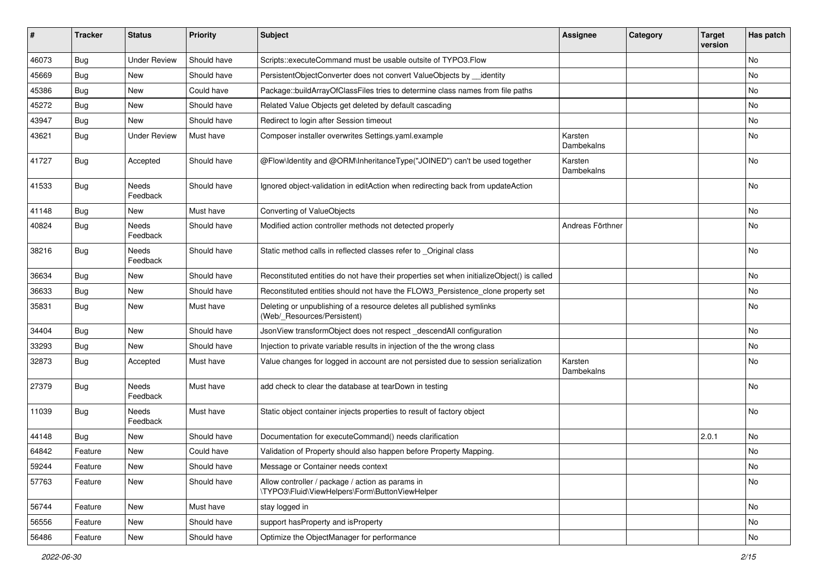| #     | <b>Tracker</b> | <b>Status</b>            | <b>Priority</b> | <b>Subject</b>                                                                                       | <b>Assignee</b>       | Category | <b>Target</b><br>version | Has patch |
|-------|----------------|--------------------------|-----------------|------------------------------------------------------------------------------------------------------|-----------------------|----------|--------------------------|-----------|
| 46073 | Bug            | <b>Under Review</b>      | Should have     | Scripts::executeCommand must be usable outsite of TYPO3.Flow                                         |                       |          |                          | <b>No</b> |
| 45669 | Bug            | New                      | Should have     | PersistentObjectConverter does not convert ValueObjects by identity                                  |                       |          |                          | <b>No</b> |
| 45386 | Bug            | New                      | Could have      | Package::buildArrayOfClassFiles tries to determine class names from file paths                       |                       |          |                          | No        |
| 45272 | Bug            | New                      | Should have     | Related Value Objects get deleted by default cascading                                               |                       |          |                          | No        |
| 43947 | Bug            | New                      | Should have     | Redirect to login after Session timeout                                                              |                       |          |                          | No        |
| 43621 | <b>Bug</b>     | <b>Under Review</b>      | Must have       | Composer installer overwrites Settings.yaml.example                                                  | Karsten<br>Dambekalns |          |                          | <b>No</b> |
| 41727 | <b>Bug</b>     | Accepted                 | Should have     | @Flow\Identity and @ORM\InheritanceType("JOINED") can't be used together                             | Karsten<br>Dambekalns |          |                          | <b>No</b> |
| 41533 | <b>Bug</b>     | Needs<br>Feedback        | Should have     | Ignored object-validation in editAction when redirecting back from updateAction                      |                       |          |                          | <b>No</b> |
| 41148 | Bug            | New                      | Must have       | Converting of ValueObjects                                                                           |                       |          |                          | No        |
| 40824 | Bug            | Needs<br>Feedback        | Should have     | Modified action controller methods not detected properly                                             | Andreas Förthner      |          |                          | No        |
| 38216 | <b>Bug</b>     | Needs<br>Feedback        | Should have     | Static method calls in reflected classes refer to _Original class                                    |                       |          |                          | <b>No</b> |
| 36634 | <b>Bug</b>     | <b>New</b>               | Should have     | Reconstituted entities do not have their properties set when initializeObject() is called            |                       |          |                          | <b>No</b> |
| 36633 | Bug            | New                      | Should have     | Reconstituted entities should not have the FLOW3_Persistence_clone property set                      |                       |          |                          | No        |
| 35831 | <b>Bug</b>     | New                      | Must have       | Deleting or unpublishing of a resource deletes all published symlinks<br>(Web/_Resources/Persistent) |                       |          |                          | No        |
| 34404 | Bug            | New                      | Should have     | JsonView transformObject does not respect_descendAll configuration                                   |                       |          |                          | <b>No</b> |
| 33293 | Bug            | New                      | Should have     | Injection to private variable results in injection of the the wrong class                            |                       |          |                          | No        |
| 32873 | <b>Bug</b>     | Accepted                 | Must have       | Value changes for logged in account are not persisted due to session serialization                   | Karsten<br>Dambekalns |          |                          | No        |
| 27379 | <b>Bug</b>     | <b>Needs</b><br>Feedback | Must have       | add check to clear the database at tearDown in testing                                               |                       |          |                          | <b>No</b> |
| 11039 | Bug            | Needs<br>Feedback        | Must have       | Static object container injects properties to result of factory object                               |                       |          |                          | No        |
| 44148 | Bug            | New                      | Should have     | Documentation for executeCommand() needs clarification                                               |                       |          | 2.0.1                    | No        |
| 64842 | Feature        | New                      | Could have      | Validation of Property should also happen before Property Mapping.                                   |                       |          |                          | No        |
| 59244 | Feature        | New                      | Should have     | Message or Container needs context                                                                   |                       |          |                          | No        |
| 57763 | Feature        | New                      | Should have     | Allow controller / package / action as params in<br>\TYPO3\Fluid\ViewHelpers\Form\ButtonViewHelper   |                       |          |                          | No        |
| 56744 | Feature        | New                      | Must have       | stay logged in                                                                                       |                       |          |                          | No        |
| 56556 | Feature        | New                      | Should have     | support has Property and is Property                                                                 |                       |          |                          | No        |
| 56486 | Feature        | New                      | Should have     | Optimize the ObjectManager for performance                                                           |                       |          |                          | No        |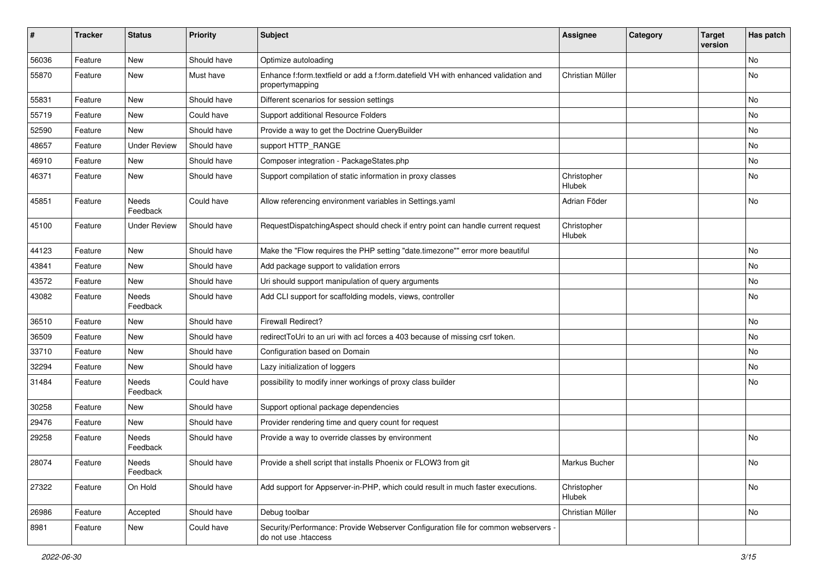| #     | <b>Tracker</b> | <b>Status</b>       | <b>Priority</b> | <b>Subject</b>                                                                                             | <b>Assignee</b>       | Category | <b>Target</b><br>version | Has patch |
|-------|----------------|---------------------|-----------------|------------------------------------------------------------------------------------------------------------|-----------------------|----------|--------------------------|-----------|
| 56036 | Feature        | <b>New</b>          | Should have     | Optimize autoloading                                                                                       |                       |          |                          | No        |
| 55870 | Feature        | New                 | Must have       | Enhance f:form.textfield or add a f:form.datefield VH with enhanced validation and<br>propertymapping      | Christian Müller      |          |                          | No        |
| 55831 | Feature        | <b>New</b>          | Should have     | Different scenarios for session settings                                                                   |                       |          |                          | No        |
| 55719 | Feature        | New                 | Could have      | Support additional Resource Folders                                                                        |                       |          |                          | No        |
| 52590 | Feature        | New                 | Should have     | Provide a way to get the Doctrine QueryBuilder                                                             |                       |          |                          | No.       |
| 48657 | Feature        | <b>Under Review</b> | Should have     | support HTTP_RANGE                                                                                         |                       |          |                          | No        |
| 46910 | Feature        | New                 | Should have     | Composer integration - PackageStates.php                                                                   |                       |          |                          | No        |
| 46371 | Feature        | <b>New</b>          | Should have     | Support compilation of static information in proxy classes                                                 | Christopher<br>Hlubek |          |                          | No        |
| 45851 | Feature        | Needs<br>Feedback   | Could have      | Allow referencing environment variables in Settings.yaml                                                   | Adrian Föder          |          |                          | No        |
| 45100 | Feature        | <b>Under Review</b> | Should have     | RequestDispatchingAspect should check if entry point can handle current request                            | Christopher<br>Hlubek |          |                          |           |
| 44123 | Feature        | New                 | Should have     | Make the "Flow requires the PHP setting "date.timezone"" error more beautiful                              |                       |          |                          | No        |
| 43841 | Feature        | New                 | Should have     | Add package support to validation errors                                                                   |                       |          |                          | No        |
| 43572 | Feature        | New                 | Should have     | Uri should support manipulation of query arguments                                                         |                       |          |                          | No        |
| 43082 | Feature        | Needs<br>Feedback   | Should have     | Add CLI support for scaffolding models, views, controller                                                  |                       |          |                          | No        |
| 36510 | Feature        | New                 | Should have     | <b>Firewall Redirect?</b>                                                                                  |                       |          |                          | No        |
| 36509 | Feature        | New                 | Should have     | redirectToUri to an uri with acl forces a 403 because of missing csrf token.                               |                       |          |                          | No        |
| 33710 | Feature        | New                 | Should have     | Configuration based on Domain                                                                              |                       |          |                          | No        |
| 32294 | Feature        | New                 | Should have     | Lazy initialization of loggers                                                                             |                       |          |                          | No        |
| 31484 | Feature        | Needs<br>Feedback   | Could have      | possibility to modify inner workings of proxy class builder                                                |                       |          |                          | No        |
| 30258 | Feature        | New                 | Should have     | Support optional package dependencies                                                                      |                       |          |                          |           |
| 29476 | Feature        | New                 | Should have     | Provider rendering time and query count for request                                                        |                       |          |                          |           |
| 29258 | Feature        | Needs<br>Feedback   | Should have     | Provide a way to override classes by environment                                                           |                       |          |                          | <b>No</b> |
| 28074 | Feature        | Needs<br>Feedback   | Should have     | Provide a shell script that installs Phoenix or FLOW3 from git                                             | Markus Bucher         |          |                          | No        |
| 27322 | Feature        | On Hold             | Should have     | Add support for Appserver-in-PHP, which could result in much faster executions.                            | Christopher<br>Hlubek |          |                          | No        |
| 26986 | Feature        | Accepted            | Should have     | Debug toolbar                                                                                              | Christian Müller      |          |                          | No        |
| 8981  | Feature        | New                 | Could have      | Security/Performance: Provide Webserver Configuration file for common webservers -<br>do not use .htaccess |                       |          |                          |           |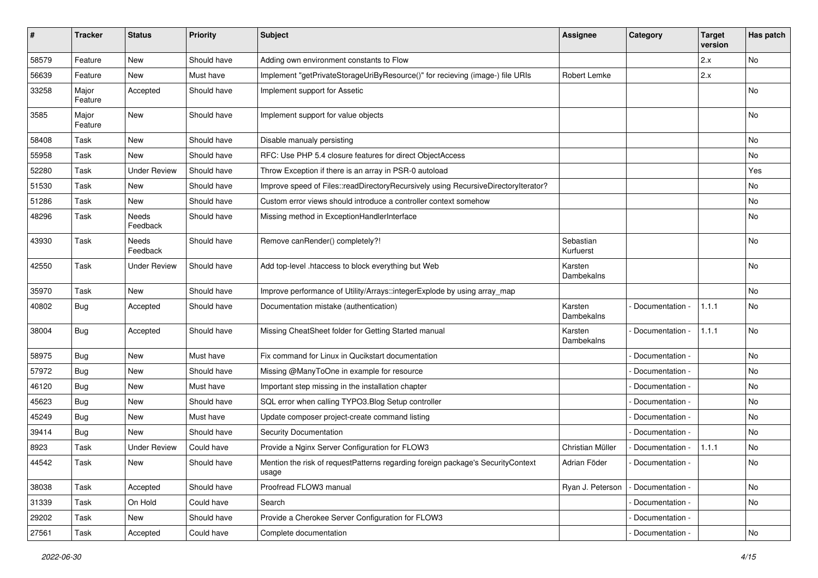| ∦     | <b>Tracker</b>   | <b>Status</b>       | <b>Priority</b> | <b>Subject</b>                                                                           | <b>Assignee</b>        | Category          | <b>Target</b><br>version | Has patch |
|-------|------------------|---------------------|-----------------|------------------------------------------------------------------------------------------|------------------------|-------------------|--------------------------|-----------|
| 58579 | Feature          | New                 | Should have     | Adding own environment constants to Flow                                                 |                        |                   | 2.x                      | No        |
| 56639 | Feature          | New                 | Must have       | Implement "getPrivateStorageUriByResource()" for recieving (image-) file URIs            | Robert Lemke           |                   | 2.x                      |           |
| 33258 | Major<br>Feature | Accepted            | Should have     | Implement support for Assetic                                                            |                        |                   |                          | <b>No</b> |
| 3585  | Major<br>Feature | New                 | Should have     | Implement support for value objects                                                      |                        |                   |                          | <b>No</b> |
| 58408 | Task             | <b>New</b>          | Should have     | Disable manualy persisting                                                               |                        |                   |                          | <b>No</b> |
| 55958 | Task             | New                 | Should have     | RFC: Use PHP 5.4 closure features for direct ObjectAccess                                |                        |                   |                          | No        |
| 52280 | Task             | <b>Under Review</b> | Should have     | Throw Exception if there is an array in PSR-0 autoload                                   |                        |                   |                          | Yes       |
| 51530 | Task             | <b>New</b>          | Should have     | Improve speed of Files::readDirectoryRecursively using RecursiveDirectoryIterator?       |                        |                   |                          | No        |
| 51286 | Task             | New                 | Should have     | Custom error views should introduce a controller context somehow                         |                        |                   |                          | No        |
| 48296 | Task             | Needs<br>Feedback   | Should have     | Missing method in ExceptionHandlerInterface                                              |                        |                   |                          | No        |
| 43930 | Task             | Needs<br>Feedback   | Should have     | Remove canRender() completely?!                                                          | Sebastian<br>Kurfuerst |                   |                          | No        |
| 42550 | Task             | <b>Under Review</b> | Should have     | Add top-level .htaccess to block everything but Web                                      | Karsten<br>Dambekalns  |                   |                          | No        |
| 35970 | Task             | New                 | Should have     | Improve performance of Utility/Arrays::integerExplode by using array map                 |                        |                   |                          | No        |
| 40802 | <b>Bug</b>       | Accepted            | Should have     | Documentation mistake (authentication)                                                   | Karsten<br>Dambekalns  | Documentation -   | 1.1.1                    | No        |
| 38004 | Bug              | Accepted            | Should have     | Missing CheatSheet folder for Getting Started manual                                     | Karsten<br>Dambekalns  | Documentation -   | 1.1.1                    | <b>No</b> |
| 58975 | Bug              | <b>New</b>          | Must have       | Fix command for Linux in Qucikstart documentation                                        |                        | Documentation -   |                          | <b>No</b> |
| 57972 | <b>Bug</b>       | New                 | Should have     | Missing @ManyToOne in example for resource                                               |                        | Documentation -   |                          | No        |
| 46120 | Bug              | New                 | Must have       | Important step missing in the installation chapter                                       |                        | Documentation -   |                          | <b>No</b> |
| 45623 | <b>Bug</b>       | New                 | Should have     | SQL error when calling TYPO3.Blog Setup controller                                       |                        | Documentation -   |                          | No        |
| 45249 | <b>Bug</b>       | New                 | Must have       | Update composer project-create command listing                                           |                        | Documentation -   |                          | No        |
| 39414 | <b>Bug</b>       | New                 | Should have     | Security Documentation                                                                   |                        | Documentation -   |                          | No        |
| 8923  | Task             | <b>Under Review</b> | Could have      | Provide a Nginx Server Configuration for FLOW3                                           | Christian Müller       | Documentation -   | 1.1.1                    | No        |
| 44542 | Task             | New                 | Should have     | Mention the risk of requestPatterns regarding foreign package's SecurityContext<br>usage | Adrian Föder           | - Documentation - |                          | No        |
| 38038 | Task             | Accepted            | Should have     | Proofread FLOW3 manual                                                                   | Ryan J. Peterson       | Documentation -   |                          | No        |
| 31339 | Task             | On Hold             | Could have      | Search                                                                                   |                        | Documentation -   |                          | No        |
| 29202 | Task             | New                 | Should have     | Provide a Cherokee Server Configuration for FLOW3                                        |                        | Documentation -   |                          |           |
| 27561 | Task             | Accepted            | Could have      | Complete documentation                                                                   |                        | Documentation -   |                          | No        |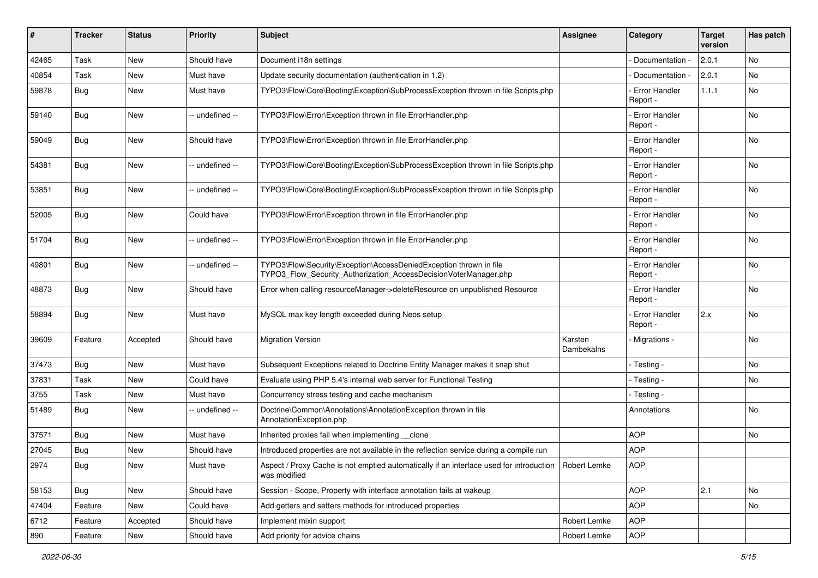| #     | <b>Tracker</b> | <b>Status</b> | <b>Priority</b> | Subject                                                                                                                                | <b>Assignee</b>       | Category                         | <b>Target</b><br>version | Has patch |
|-------|----------------|---------------|-----------------|----------------------------------------------------------------------------------------------------------------------------------------|-----------------------|----------------------------------|--------------------------|-----------|
| 42465 | Task           | <b>New</b>    | Should have     | Document i18n settings                                                                                                                 |                       | Documentation -                  | 2.0.1                    | No        |
| 40854 | Task           | New           | Must have       | Update security documentation (authentication in 1.2)                                                                                  |                       | Documentation -                  | 2.0.1                    | No.       |
| 59878 | Bug            | New           | Must have       | TYPO3\Flow\Core\Booting\Exception\SubProcessException thrown in file Scripts.php                                                       |                       | - Error Handler<br>Report -      | 1.1.1                    | No        |
| 59140 | Bug            | <b>New</b>    | -- undefined -- | TYPO3\Flow\Error\Exception thrown in file ErrorHandler.php                                                                             |                       | <b>Error Handler</b><br>Report - |                          | No.       |
| 59049 | <b>Bug</b>     | <b>New</b>    | Should have     | TYPO3\Flow\Error\Exception thrown in file ErrorHandler.php                                                                             |                       | - Error Handler<br>Report -      |                          | No        |
| 54381 | Bug            | New           | -- undefined -- | TYPO3\Flow\Core\Booting\Exception\SubProcessException thrown in file Scripts.php                                                       |                       | <b>Error Handler</b><br>Report - |                          | No.       |
| 53851 | Bug            | New           | -- undefined -- | TYPO3\Flow\Core\Booting\Exception\SubProcessException thrown in file Scripts.php                                                       |                       | <b>Error Handler</b><br>Report - |                          | No        |
| 52005 | Bug            | New           | Could have      | TYPO3\Flow\Error\Exception thrown in file ErrorHandler.php                                                                             |                       | <b>Error Handler</b><br>Report - |                          | No.       |
| 51704 | <b>Bug</b>     | <b>New</b>    | -- undefined -- | TYPO3\Flow\Error\Exception thrown in file ErrorHandler.php                                                                             |                       | - Error Handler<br>Report -      |                          | No        |
| 49801 | <b>Bug</b>     | New           | -- undefined -- | TYPO3\Flow\Security\Exception\AccessDeniedException thrown in file<br>TYPO3_Flow_Security_Authorization_AccessDecisionVoterManager.php |                       | - Error Handler<br>Report -      |                          | No.       |
| 48873 | <b>Bug</b>     | New           | Should have     | Error when calling resourceManager->deleteResource on unpublished Resource                                                             |                       | <b>Error Handler</b><br>Report - |                          | No        |
| 58894 | <b>Bug</b>     | New           | Must have       | MySQL max key length exceeded during Neos setup                                                                                        |                       | - Error Handler<br>Report -      | 2.x                      | No        |
| 39609 | Feature        | Accepted      | Should have     | <b>Migration Version</b>                                                                                                               | Karsten<br>Dambekalns | - Migrations -                   |                          | <b>No</b> |
| 37473 | <b>Bug</b>     | New           | Must have       | Subsequent Exceptions related to Doctrine Entity Manager makes it snap shut                                                            |                       | - Testing -                      |                          | <b>No</b> |
| 37831 | Task           | <b>New</b>    | Could have      | Evaluate using PHP 5.4's internal web server for Functional Testing                                                                    |                       | - Testing -                      |                          | No        |
| 3755  | Task           | New           | Must have       | Concurrency stress testing and cache mechanism                                                                                         |                       | - Testing -                      |                          |           |
| 51489 | Bug            | New           | -- undefined -- | Doctrine\Common\Annotations\AnnotationException thrown in file<br>AnnotationException.php                                              |                       | Annotations                      |                          | No        |
| 37571 | Bug            | <b>New</b>    | Must have       | Inherited proxies fail when implementing clone                                                                                         |                       | <b>AOP</b>                       |                          | No        |
| 27045 | <b>Bug</b>     | <b>New</b>    | Should have     | Introduced properties are not available in the reflection service during a compile run                                                 |                       | <b>AOP</b>                       |                          |           |
| 2974  | <b>Bug</b>     | New           | Must have       | Aspect / Proxy Cache is not emptied automatically if an interface used for introduction   Robert Lemke<br>was modified                 |                       | <b>AOP</b>                       |                          |           |
| 58153 | Bug            | New           | Should have     | Session - Scope, Property with interface annotation fails at wakeup                                                                    |                       | <b>AOP</b>                       | 2.1                      | No        |
| 47404 | Feature        | New           | Could have      | Add getters and setters methods for introduced properties                                                                              |                       | <b>AOP</b>                       |                          | No        |
| 6712  | Feature        | Accepted      | Should have     | Implement mixin support                                                                                                                | Robert Lemke          | <b>AOP</b>                       |                          |           |
| 890   | Feature        | New           | Should have     | Add priority for advice chains                                                                                                         | Robert Lemke          | <b>AOP</b>                       |                          |           |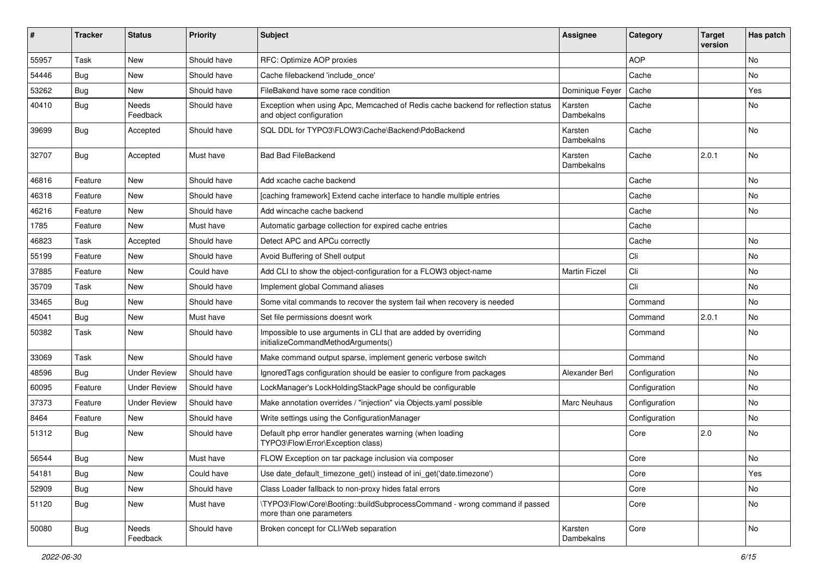| #     | <b>Tracker</b> | <b>Status</b>       | <b>Priority</b> | Subject                                                                                                      | <b>Assignee</b>       | Category      | <b>Target</b><br>version | Has patch |
|-------|----------------|---------------------|-----------------|--------------------------------------------------------------------------------------------------------------|-----------------------|---------------|--------------------------|-----------|
| 55957 | Task           | <b>New</b>          | Should have     | RFC: Optimize AOP proxies                                                                                    |                       | <b>AOP</b>    |                          | No        |
| 54446 | <b>Bug</b>     | New                 | Should have     | Cache filebackend 'include once'                                                                             |                       | Cache         |                          | No        |
| 53262 | <b>Bug</b>     | New                 | Should have     | FileBakend have some race condition                                                                          | Dominique Feyer       | Cache         |                          | Yes       |
| 40410 | Bug            | Needs<br>Feedback   | Should have     | Exception when using Apc, Memcached of Redis cache backend for reflection status<br>and object configuration | Karsten<br>Dambekalns | Cache         |                          | No        |
| 39699 | <b>Bug</b>     | Accepted            | Should have     | SQL DDL for TYPO3\FLOW3\Cache\Backend\PdoBackend                                                             | Karsten<br>Dambekalns | Cache         |                          | No.       |
| 32707 | <b>Bug</b>     | Accepted            | Must have       | <b>Bad Bad FileBackend</b>                                                                                   | Karsten<br>Dambekalns | Cache         | 2.0.1                    | No        |
| 46816 | Feature        | New                 | Should have     | Add xcache cache backend                                                                                     |                       | Cache         |                          | No.       |
| 46318 | Feature        | New                 | Should have     | [caching framework] Extend cache interface to handle multiple entries                                        |                       | Cache         |                          | No        |
| 46216 | Feature        | New                 | Should have     | Add wincache cache backend                                                                                   |                       | Cache         |                          | No        |
| 1785  | Feature        | New                 | Must have       | Automatic garbage collection for expired cache entries                                                       |                       | Cache         |                          |           |
| 46823 | Task           | Accepted            | Should have     | Detect APC and APCu correctly                                                                                |                       | Cache         |                          | No        |
| 55199 | Feature        | New                 | Should have     | Avoid Buffering of Shell output                                                                              |                       | Cli           |                          | No        |
| 37885 | Feature        | New                 | Could have      | Add CLI to show the object-configuration for a FLOW3 object-name                                             | <b>Martin Ficzel</b>  | Cli           |                          | No        |
| 35709 | Task           | New                 | Should have     | Implement global Command aliases                                                                             |                       | Cli           |                          | No        |
| 33465 | <b>Bug</b>     | New                 | Should have     | Some vital commands to recover the system fail when recovery is needed                                       |                       | Command       |                          | No.       |
| 45041 | <b>Bug</b>     | <b>New</b>          | Must have       | Set file permissions doesnt work                                                                             |                       | Command       | 2.0.1                    | No        |
| 50382 | Task           | New                 | Should have     | Impossible to use arguments in CLI that are added by overriding<br>initializeCommandMethodArguments()        |                       | Command       |                          | No        |
| 33069 | Task           | <b>New</b>          | Should have     | Make command output sparse, implement generic verbose switch                                                 |                       | Command       |                          | No.       |
| 48596 | <b>Bug</b>     | <b>Under Review</b> | Should have     | Ignored Tags configuration should be easier to configure from packages                                       | Alexander Berl        | Configuration |                          | No        |
| 60095 | Feature        | <b>Under Review</b> | Should have     | LockManager's LockHoldingStackPage should be configurable                                                    |                       | Configuration |                          | No        |
| 37373 | Feature        | <b>Under Review</b> | Should have     | Make annotation overrides / "injection" via Objects.yaml possible                                            | <b>Marc Neuhaus</b>   | Configuration |                          | No        |
| 8464  | Feature        | New                 | Should have     | Write settings using the ConfigurationManager                                                                |                       | Configuration |                          | No        |
| 51312 | <b>Bug</b>     | New                 | Should have     | Default php error handler generates warning (when loading<br>TYPO3\Flow\Error\Exception class)               |                       | Core          | 2.0                      | No        |
| 56544 | Bug            | New                 | Must have       | FLOW Exception on tar package inclusion via composer                                                         |                       | Core          |                          | No        |
| 54181 | <b>Bug</b>     | New                 | Could have      | Use date default timezone get() instead of ini get('date.timezone')                                          |                       | Core          |                          | Yes       |
| 52909 | Bug            | New                 | Should have     | Class Loader fallback to non-proxy hides fatal errors                                                        |                       | Core          |                          | No        |
| 51120 | <b>Bug</b>     | New                 | Must have       | \TYPO3\Flow\Core\Booting::buildSubprocessCommand - wrong command if passed<br>more than one parameters       |                       | Core          |                          | No        |
| 50080 | <b>Bug</b>     | Needs<br>Feedback   | Should have     | Broken concept for CLI/Web separation                                                                        | Karsten<br>Dambekalns | Core          |                          | No        |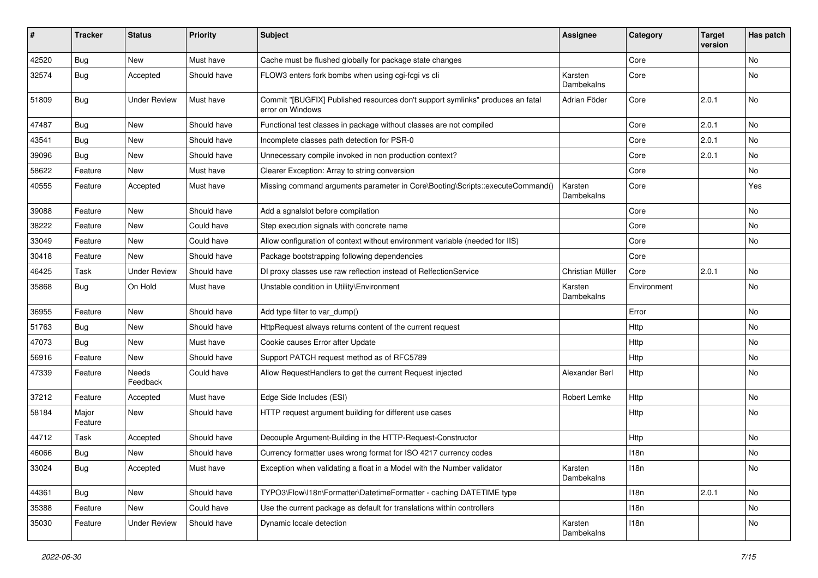| ∦     | <b>Tracker</b>   | <b>Status</b>       | <b>Priority</b> | <b>Subject</b>                                                                                     | <b>Assignee</b>              | Category    | <b>Target</b><br>version | Has patch |
|-------|------------------|---------------------|-----------------|----------------------------------------------------------------------------------------------------|------------------------------|-------------|--------------------------|-----------|
| 42520 | <b>Bug</b>       | New                 | Must have       | Cache must be flushed globally for package state changes                                           |                              | Core        |                          | <b>No</b> |
| 32574 | <b>Bug</b>       | Accepted            | Should have     | FLOW3 enters fork bombs when using cgi-fcgi vs cli                                                 | Karsten<br>Dambekalns        | Core        |                          | No        |
| 51809 | Bug              | <b>Under Review</b> | Must have       | Commit "[BUGFIX] Published resources don't support symlinks" produces an fatal<br>error on Windows | Adrian Föder                 | Core        | 2.0.1                    | No        |
| 47487 | Bug              | New                 | Should have     | Functional test classes in package without classes are not compiled                                |                              | Core        | 2.0.1                    | No        |
| 43541 | <b>Bug</b>       | New                 | Should have     | Incomplete classes path detection for PSR-0                                                        |                              | Core        | 2.0.1                    | No        |
| 39096 | <b>Bug</b>       | New                 | Should have     | Unnecessary compile invoked in non production context?                                             |                              | Core        | 2.0.1                    | No        |
| 58622 | Feature          | New                 | Must have       | Clearer Exception: Array to string conversion                                                      |                              | Core        |                          | <b>No</b> |
| 40555 | Feature          | Accepted            | Must have       | Missing command arguments parameter in Core\Booting\Scripts::executeCommand()                      | Karsten<br><b>Dambekalns</b> | Core        |                          | Yes       |
| 39088 | Feature          | New                 | Should have     | Add a sgnalslot before compilation                                                                 |                              | Core        |                          | No        |
| 38222 | Feature          | New                 | Could have      | Step execution signals with concrete name                                                          |                              | Core        |                          | No        |
| 33049 | Feature          | New                 | Could have      | Allow configuration of context without environment variable (needed for IIS)                       |                              | Core        |                          | No        |
| 30418 | Feature          | New                 | Should have     | Package bootstrapping following dependencies                                                       |                              | Core        |                          |           |
| 46425 | Task             | <b>Under Review</b> | Should have     | DI proxy classes use raw reflection instead of RelfectionService                                   | Christian Müller             | Core        | 2.0.1                    | No        |
| 35868 | Bug              | On Hold             | Must have       | Unstable condition in Utility\Environment                                                          | Karsten<br>Dambekalns        | Environment |                          | No        |
| 36955 | Feature          | New                 | Should have     | Add type filter to var_dump()                                                                      |                              | Error       |                          | No        |
| 51763 | Bug              | New                 | Should have     | HttpRequest always returns content of the current request                                          |                              | Http        |                          | No        |
| 47073 | <b>Bug</b>       | New                 | Must have       | Cookie causes Error after Update                                                                   |                              | Http        |                          | No        |
| 56916 | Feature          | New                 | Should have     | Support PATCH request method as of RFC5789                                                         |                              | Http        |                          | <b>No</b> |
| 47339 | Feature          | Needs<br>Feedback   | Could have      | Allow RequestHandlers to get the current Request injected                                          | Alexander Berl               | Http        |                          | No        |
| 37212 | Feature          | Accepted            | Must have       | Edge Side Includes (ESI)                                                                           | Robert Lemke                 | Http        |                          | No        |
| 58184 | Major<br>Feature | New                 | Should have     | HTTP request argument building for different use cases                                             |                              | <b>Http</b> |                          | No        |
| 44712 | Task             | Accepted            | Should have     | Decouple Argument-Building in the HTTP-Request-Constructor                                         |                              | Http        |                          | No        |
| 46066 | Bug              | New                 | Should have     | Currency formatter uses wrong format for ISO 4217 currency codes                                   |                              | 118n        |                          | No        |
| 33024 | <b>Bug</b>       | Accepted            | Must have       | Exception when validating a float in a Model with the Number validator                             | Karsten<br>Dambekalns        | 118n        |                          | No        |
| 44361 | Bug              | New                 | Should have     | TYPO3\Flow\I18n\Formatter\DatetimeFormatter - caching DATETIME type                                |                              | 118n        | 2.0.1                    | No        |
| 35388 | Feature          | New                 | Could have      | Use the current package as default for translations within controllers                             |                              | 118n        |                          | No        |
| 35030 | Feature          | <b>Under Review</b> | Should have     | Dynamic locale detection                                                                           | Karsten<br>Dambekalns        | 118n        |                          | No        |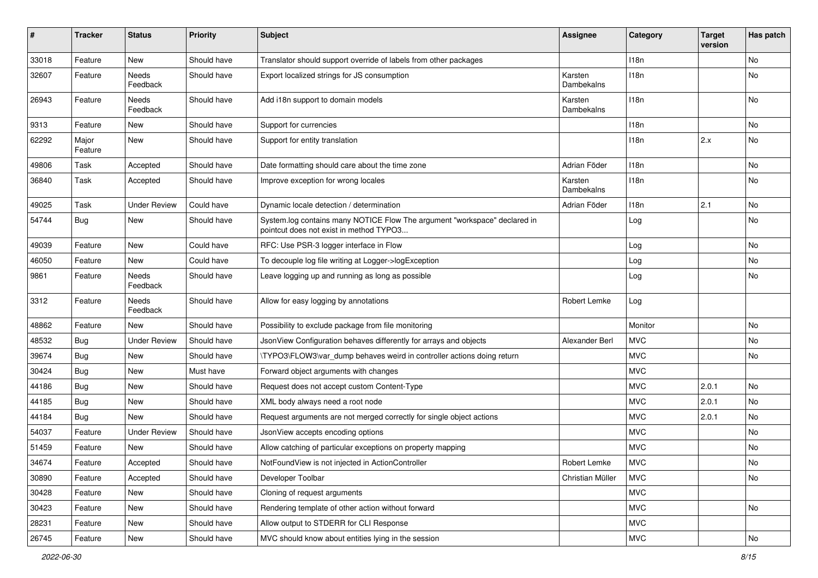| #     | <b>Tracker</b>   | <b>Status</b>       | <b>Priority</b> | <b>Subject</b>                                                                                                       | <b>Assignee</b>       | Category         | <b>Target</b><br>version | Has patch |
|-------|------------------|---------------------|-----------------|----------------------------------------------------------------------------------------------------------------------|-----------------------|------------------|--------------------------|-----------|
| 33018 | Feature          | <b>New</b>          | Should have     | Translator should support override of labels from other packages                                                     |                       | 118n             |                          | <b>No</b> |
| 32607 | Feature          | Needs<br>Feedback   | Should have     | Export localized strings for JS consumption                                                                          | Karsten<br>Dambekalns | 118n             |                          | No        |
| 26943 | Feature          | Needs<br>Feedback   | Should have     | Add i18n support to domain models                                                                                    | Karsten<br>Dambekalns | 118n             |                          | No        |
| 9313  | Feature          | New                 | Should have     | Support for currencies                                                                                               |                       | 118 <sub>n</sub> |                          | No        |
| 62292 | Major<br>Feature | New                 | Should have     | Support for entity translation                                                                                       |                       | 118n             | 2.x                      | No        |
| 49806 | Task             | Accepted            | Should have     | Date formatting should care about the time zone                                                                      | Adrian Föder          | 118n             |                          | No        |
| 36840 | Task             | Accepted            | Should have     | Improve exception for wrong locales                                                                                  | Karsten<br>Dambekalns | 118n             |                          | No        |
| 49025 | Task             | <b>Under Review</b> | Could have      | Dynamic locale detection / determination                                                                             | Adrian Föder          | 118n             | 2.1                      | <b>No</b> |
| 54744 | Bug              | New                 | Should have     | System.log contains many NOTICE Flow The argument "workspace" declared in<br>pointcut does not exist in method TYPO3 |                       | Log              |                          | No        |
| 49039 | Feature          | New                 | Could have      | RFC: Use PSR-3 logger interface in Flow                                                                              |                       | Log              |                          | No        |
| 46050 | Feature          | New                 | Could have      | To decouple log file writing at Logger->logException                                                                 |                       | Log              |                          | No        |
| 9861  | Feature          | Needs<br>Feedback   | Should have     | Leave logging up and running as long as possible                                                                     |                       | Log              |                          | No        |
| 3312  | Feature          | Needs<br>Feedback   | Should have     | Allow for easy logging by annotations                                                                                | Robert Lemke          | Log              |                          |           |
| 48862 | Feature          | <b>New</b>          | Should have     | Possibility to exclude package from file monitoring                                                                  |                       | Monitor          |                          | No        |
| 48532 | <b>Bug</b>       | <b>Under Review</b> | Should have     | JsonView Configuration behaves differently for arrays and objects                                                    | Alexander Berl        | <b>MVC</b>       |                          | <b>No</b> |
| 39674 | <b>Bug</b>       | New                 | Should have     | \TYPO3\FLOW3\var_dump behaves weird in controller actions doing return                                               |                       | <b>MVC</b>       |                          | No        |
| 30424 | <b>Bug</b>       | New                 | Must have       | Forward object arguments with changes                                                                                |                       | <b>MVC</b>       |                          |           |
| 44186 | Bug              | New                 | Should have     | Request does not accept custom Content-Type                                                                          |                       | <b>MVC</b>       | 2.0.1                    | No        |
| 44185 | <b>Bug</b>       | New                 | Should have     | XML body always need a root node                                                                                     |                       | <b>MVC</b>       | 2.0.1                    | No        |
| 44184 | <b>Bug</b>       | New                 | Should have     | Request arguments are not merged correctly for single object actions                                                 |                       | <b>MVC</b>       | 2.0.1                    | No        |
| 54037 | Feature          | <b>Under Review</b> | Should have     | JsonView accepts encoding options                                                                                    |                       | <b>MVC</b>       |                          | <b>No</b> |
| 51459 | Feature          | New                 | Should have     | Allow catching of particular exceptions on property mapping                                                          |                       | <b>MVC</b>       |                          | No        |
| 34674 | Feature          | Accepted            | Should have     | NotFoundView is not injected in ActionController                                                                     | Robert Lemke          | MVC              |                          | No        |
| 30890 | Feature          | Accepted            | Should have     | Developer Toolbar                                                                                                    | Christian Müller      | <b>MVC</b>       |                          | No        |
| 30428 | Feature          | New                 | Should have     | Cloning of request arguments                                                                                         |                       | <b>MVC</b>       |                          |           |
| 30423 | Feature          | New                 | Should have     | Rendering template of other action without forward                                                                   |                       | <b>MVC</b>       |                          | No        |
| 28231 | Feature          | New                 | Should have     | Allow output to STDERR for CLI Response                                                                              |                       | <b>MVC</b>       |                          |           |
| 26745 | Feature          | New                 | Should have     | MVC should know about entities lying in the session                                                                  |                       | <b>MVC</b>       |                          | No        |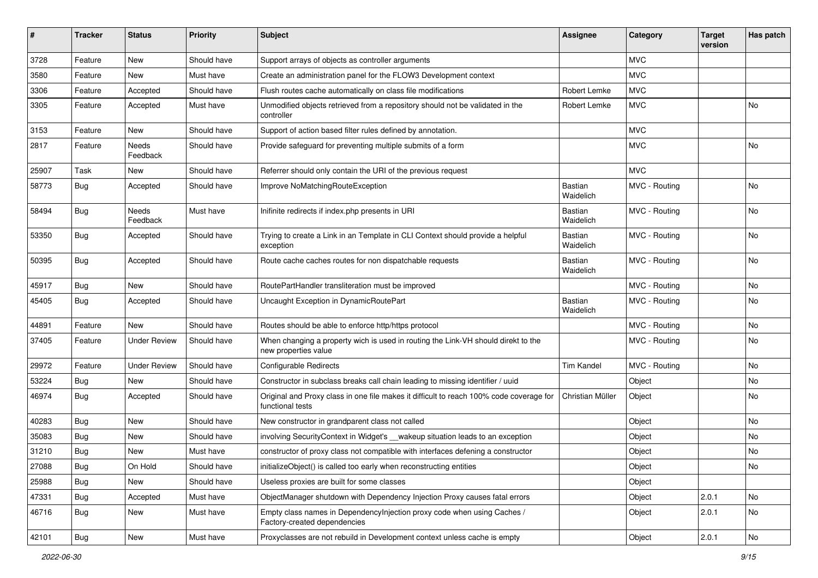| ∦     | <b>Tracker</b> | <b>Status</b>            | <b>Priority</b> | <b>Subject</b>                                                                                              | <b>Assignee</b>             | Category      | <b>Target</b><br>version | Has patch |
|-------|----------------|--------------------------|-----------------|-------------------------------------------------------------------------------------------------------------|-----------------------------|---------------|--------------------------|-----------|
| 3728  | Feature        | New                      | Should have     | Support arrays of objects as controller arguments                                                           |                             | <b>MVC</b>    |                          |           |
| 3580  | Feature        | New                      | Must have       | Create an administration panel for the FLOW3 Development context                                            |                             | <b>MVC</b>    |                          |           |
| 3306  | Feature        | Accepted                 | Should have     | Flush routes cache automatically on class file modifications                                                | <b>Robert Lemke</b>         | <b>MVC</b>    |                          |           |
| 3305  | Feature        | Accepted                 | Must have       | Unmodified objects retrieved from a repository should not be validated in the<br>controller                 | Robert Lemke                | <b>MVC</b>    |                          | No        |
| 3153  | Feature        | <b>New</b>               | Should have     | Support of action based filter rules defined by annotation.                                                 |                             | <b>MVC</b>    |                          |           |
| 2817  | Feature        | Needs<br>Feedback        | Should have     | Provide safeguard for preventing multiple submits of a form                                                 |                             | <b>MVC</b>    |                          | No        |
| 25907 | Task           | New                      | Should have     | Referrer should only contain the URI of the previous request                                                |                             | <b>MVC</b>    |                          |           |
| 58773 | Bug            | Accepted                 | Should have     | Improve NoMatchingRouteException                                                                            | Bastian<br>Waidelich        | MVC - Routing |                          | <b>No</b> |
| 58494 | Bug            | <b>Needs</b><br>Feedback | Must have       | Inifinite redirects if index.php presents in URI                                                            | <b>Bastian</b><br>Waidelich | MVC - Routing |                          | <b>No</b> |
| 53350 | Bug            | Accepted                 | Should have     | Trying to create a Link in an Template in CLI Context should provide a helpful<br>exception                 | Bastian<br>Waidelich        | MVC - Routing |                          | No        |
| 50395 | Bug            | Accepted                 | Should have     | Route cache caches routes for non dispatchable requests                                                     | Bastian<br>Waidelich        | MVC - Routing |                          | No        |
| 45917 | Bug            | New                      | Should have     | RoutePartHandler transliteration must be improved                                                           |                             | MVC - Routing |                          | No        |
| 45405 | <b>Bug</b>     | Accepted                 | Should have     | Uncaught Exception in DynamicRoutePart                                                                      | Bastian<br>Waidelich        | MVC - Routing |                          | No        |
| 44891 | Feature        | <b>New</b>               | Should have     | Routes should be able to enforce http/https protocol                                                        |                             | MVC - Routing |                          | <b>No</b> |
| 37405 | Feature        | <b>Under Review</b>      | Should have     | When changing a property wich is used in routing the Link-VH should direkt to the<br>new properties value   |                             | MVC - Routing |                          | No        |
| 29972 | Feature        | <b>Under Review</b>      | Should have     | <b>Configurable Redirects</b>                                                                               | <b>Tim Kandel</b>           | MVC - Routing |                          | No        |
| 53224 | Bug            | <b>New</b>               | Should have     | Constructor in subclass breaks call chain leading to missing identifier / uuid                              |                             | Object        |                          | No        |
| 46974 | Bug            | Accepted                 | Should have     | Original and Proxy class in one file makes it difficult to reach 100% code coverage for<br>functional tests | Christian Müller            | Object        |                          | No        |
| 40283 | <b>Bug</b>     | New                      | Should have     | New constructor in grandparent class not called                                                             |                             | Object        |                          | No        |
| 35083 | <b>Bug</b>     | New                      | Should have     | involving SecurityContext in Widget's __wakeup situation leads to an exception                              |                             | Object        |                          | No        |
| 31210 | <b>Bug</b>     | New                      | Must have       | constructor of proxy class not compatible with interfaces defening a constructor                            |                             | Object        |                          | No        |
| 27088 | <b>Bug</b>     | On Hold                  | Should have     | initializeObject() is called too early when reconstructing entities                                         |                             | Object        |                          | No        |
| 25988 | <b>Bug</b>     | New                      | Should have     | Useless proxies are built for some classes                                                                  |                             | Object        |                          |           |
| 47331 | <b>Bug</b>     | Accepted                 | Must have       | ObjectManager shutdown with Dependency Injection Proxy causes fatal errors                                  |                             | Object        | 2.0.1                    | No        |
| 46716 | <b>Bug</b>     | New                      | Must have       | Empty class names in Dependencylnjection proxy code when using Caches /<br>Factory-created dependencies     |                             | Object        | 2.0.1                    | No        |
| 42101 | Bug            | New                      | Must have       | Proxyclasses are not rebuild in Development context unless cache is empty                                   |                             | Object        | 2.0.1                    | No        |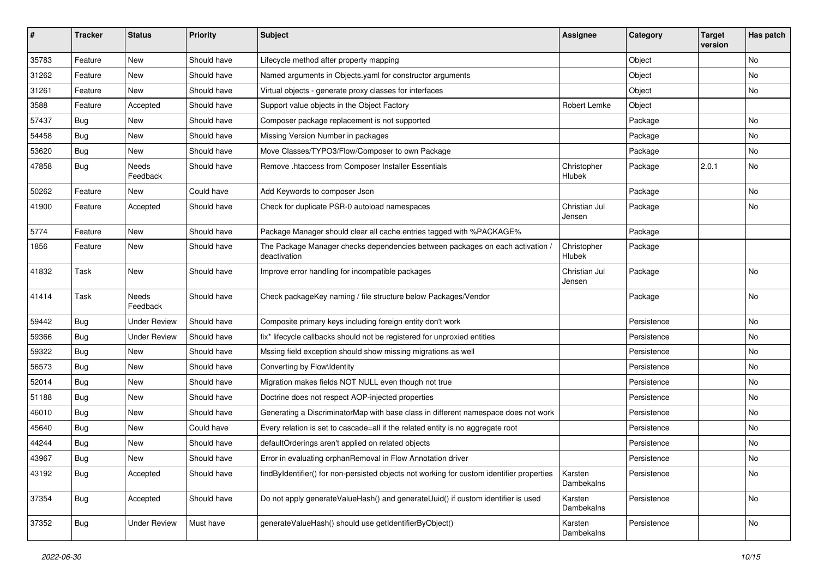| $\sharp$ | <b>Tracker</b> | <b>Status</b>       | <b>Priority</b> | <b>Subject</b>                                                                               | <b>Assignee</b>         | Category    | <b>Target</b><br>version | Has patch |
|----------|----------------|---------------------|-----------------|----------------------------------------------------------------------------------------------|-------------------------|-------------|--------------------------|-----------|
| 35783    | Feature        | New                 | Should have     | Lifecycle method after property mapping                                                      |                         | Object      |                          | No        |
| 31262    | Feature        | New                 | Should have     | Named arguments in Objects yaml for constructor arguments                                    |                         | Object      |                          | No        |
| 31261    | Feature        | New                 | Should have     | Virtual objects - generate proxy classes for interfaces                                      |                         | Object      |                          | No        |
| 3588     | Feature        | Accepted            | Should have     | Support value objects in the Object Factory                                                  | Robert Lemke            | Object      |                          |           |
| 57437    | Bug            | New                 | Should have     | Composer package replacement is not supported                                                |                         | Package     |                          | No        |
| 54458    | <b>Bug</b>     | New                 | Should have     | Missing Version Number in packages                                                           |                         | Package     |                          | <b>No</b> |
| 53620    | <b>Bug</b>     | New                 | Should have     | Move Classes/TYPO3/Flow/Composer to own Package                                              |                         | Package     |                          | No        |
| 47858    | Bug            | Needs<br>Feedback   | Should have     | Remove .htaccess from Composer Installer Essentials                                          | Christopher<br>Hlubek   | Package     | 2.0.1                    | No        |
| 50262    | Feature        | New                 | Could have      | Add Keywords to composer Json                                                                |                         | Package     |                          | <b>No</b> |
| 41900    | Feature        | Accepted            | Should have     | Check for duplicate PSR-0 autoload namespaces                                                | Christian Jul<br>Jensen | Package     |                          | No        |
| 5774     | Feature        | New                 | Should have     | Package Manager should clear all cache entries tagged with %PACKAGE%                         |                         | Package     |                          |           |
| 1856     | Feature        | New                 | Should have     | The Package Manager checks dependencies between packages on each activation,<br>deactivation | Christopher<br>Hlubek   | Package     |                          |           |
| 41832    | Task           | New                 | Should have     | Improve error handling for incompatible packages                                             | Christian Jul<br>Jensen | Package     |                          | No        |
| 41414    | Task           | Needs<br>Feedback   | Should have     | Check packageKey naming / file structure below Packages/Vendor                               |                         | Package     |                          | No        |
| 59442    | Bug            | <b>Under Review</b> | Should have     | Composite primary keys including foreign entity don't work                                   |                         | Persistence |                          | No        |
| 59366    | <b>Bug</b>     | <b>Under Review</b> | Should have     | fix* lifecycle callbacks should not be registered for unproxied entities                     |                         | Persistence |                          | No        |
| 59322    | <b>Bug</b>     | New                 | Should have     | Mssing field exception should show missing migrations as well                                |                         | Persistence |                          | No        |
| 56573    | <b>Bug</b>     | New                 | Should have     | Converting by Flow\Identity                                                                  |                         | Persistence |                          | No        |
| 52014    | <b>Bug</b>     | New                 | Should have     | Migration makes fields NOT NULL even though not true                                         |                         | Persistence |                          | No        |
| 51188    | <b>Bug</b>     | New                 | Should have     | Doctrine does not respect AOP-injected properties                                            |                         | Persistence |                          | No        |
| 46010    | Bug            | New                 | Should have     | Generating a DiscriminatorMap with base class in different namespace does not work           |                         | Persistence |                          | No        |
| 45640    | Bug            | New                 | Could have      | Every relation is set to cascade=all if the related entity is no aggregate root              |                         | Persistence |                          | No        |
| 44244    | <b>Bug</b>     | New                 | Should have     | defaultOrderings aren't applied on related objects                                           |                         | Persistence |                          | No        |
| 43967    | Bug            | New                 | Should have     | Error in evaluating orphanRemoval in Flow Annotation driver                                  |                         | Persistence |                          | No        |
| 43192    | Bug            | Accepted            | Should have     | findByIdentifier() for non-persisted objects not working for custom identifier properties    | Karsten<br>Dambekalns   | Persistence |                          | No        |
| 37354    | <b>Bug</b>     | Accepted            | Should have     | Do not apply generateValueHash() and generateUuid() if custom identifier is used             | Karsten<br>Dambekalns   | Persistence |                          | No        |
| 37352    | <b>Bug</b>     | <b>Under Review</b> | Must have       | generateValueHash() should use getIdentifierByObject()                                       | Karsten<br>Dambekalns   | Persistence |                          | No        |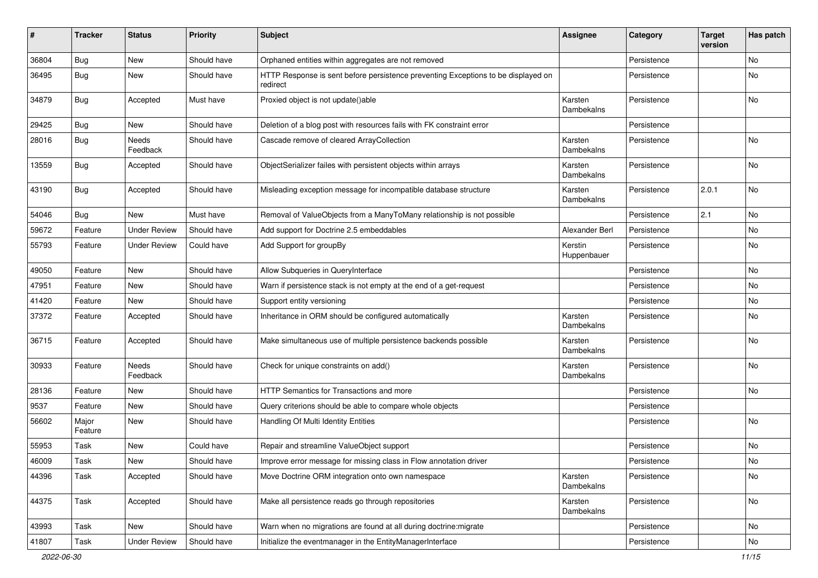| #     | <b>Tracker</b>   | <b>Status</b>       | <b>Priority</b> | Subject                                                                                       | <b>Assignee</b>        | Category    | <b>Target</b><br>version | Has patch |
|-------|------------------|---------------------|-----------------|-----------------------------------------------------------------------------------------------|------------------------|-------------|--------------------------|-----------|
| 36804 | <b>Bug</b>       | <b>New</b>          | Should have     | Orphaned entities within aggregates are not removed                                           |                        | Persistence |                          | No        |
| 36495 | <b>Bug</b>       | New                 | Should have     | HTTP Response is sent before persistence preventing Exceptions to be displayed on<br>redirect |                        | Persistence |                          | No        |
| 34879 | <b>Bug</b>       | Accepted            | Must have       | Proxied object is not update()able                                                            | Karsten<br>Dambekalns  | Persistence |                          | No        |
| 29425 | <b>Bug</b>       | <b>New</b>          | Should have     | Deletion of a blog post with resources fails with FK constraint error                         |                        | Persistence |                          |           |
| 28016 | <b>Bug</b>       | Needs<br>Feedback   | Should have     | Cascade remove of cleared ArrayCollection                                                     | Karsten<br>Dambekalns  | Persistence |                          | No        |
| 13559 | Bug              | Accepted            | Should have     | ObjectSerializer failes with persistent objects within arrays                                 | Karsten<br>Dambekalns  | Persistence |                          | No        |
| 43190 | Bug              | Accepted            | Should have     | Misleading exception message for incompatible database structure                              | Karsten<br>Dambekalns  | Persistence | 2.0.1                    | No        |
| 54046 | Bug              | New                 | Must have       | Removal of ValueObjects from a ManyToMany relationship is not possible                        |                        | Persistence | 2.1                      | No        |
| 59672 | Feature          | <b>Under Review</b> | Should have     | Add support for Doctrine 2.5 embeddables                                                      | Alexander Berl         | Persistence |                          | No        |
| 55793 | Feature          | <b>Under Review</b> | Could have      | Add Support for groupBy                                                                       | Kerstin<br>Huppenbauer | Persistence |                          | No        |
| 49050 | Feature          | New                 | Should have     | Allow Subqueries in QueryInterface                                                            |                        | Persistence |                          | No.       |
| 47951 | Feature          | New                 | Should have     | Warn if persistence stack is not empty at the end of a get-request                            |                        | Persistence |                          | No        |
| 41420 | Feature          | New                 | Should have     | Support entity versioning                                                                     |                        | Persistence |                          | No        |
| 37372 | Feature          | Accepted            | Should have     | Inheritance in ORM should be configured automatically                                         | Karsten<br>Dambekalns  | Persistence |                          | No        |
| 36715 | Feature          | Accepted            | Should have     | Make simultaneous use of multiple persistence backends possible                               | Karsten<br>Dambekalns  | Persistence |                          | No        |
| 30933 | Feature          | Needs<br>Feedback   | Should have     | Check for unique constraints on add()                                                         | Karsten<br>Dambekalns  | Persistence |                          | No        |
| 28136 | Feature          | New                 | Should have     | HTTP Semantics for Transactions and more                                                      |                        | Persistence |                          | No        |
| 9537  | Feature          | New                 | Should have     | Query criterions should be able to compare whole objects                                      |                        | Persistence |                          |           |
| 56602 | Major<br>Feature | New                 | Should have     | Handling Of Multi Identity Entities                                                           |                        | Persistence |                          | No        |
| 55953 | Task             | New                 | Could have      | Repair and streamline ValueObject support                                                     |                        | Persistence |                          | No        |
| 46009 | Task             | New                 | Should have     | Improve error message for missing class in Flow annotation driver                             |                        | Persistence |                          | No        |
| 44396 | Task             | Accepted            | Should have     | Move Doctrine ORM integration onto own namespace                                              | Karsten<br>Dambekalns  | Persistence |                          | No        |
| 44375 | Task             | Accepted            | Should have     | Make all persistence reads go through repositories                                            | Karsten<br>Dambekalns  | Persistence |                          | No        |
| 43993 | Task             | New                 | Should have     | Warn when no migrations are found at all during doctrine: migrate                             |                        | Persistence |                          | No        |
| 41807 | Task             | <b>Under Review</b> | Should have     | Initialize the eventmanager in the EntityManagerInterface                                     |                        | Persistence |                          | No        |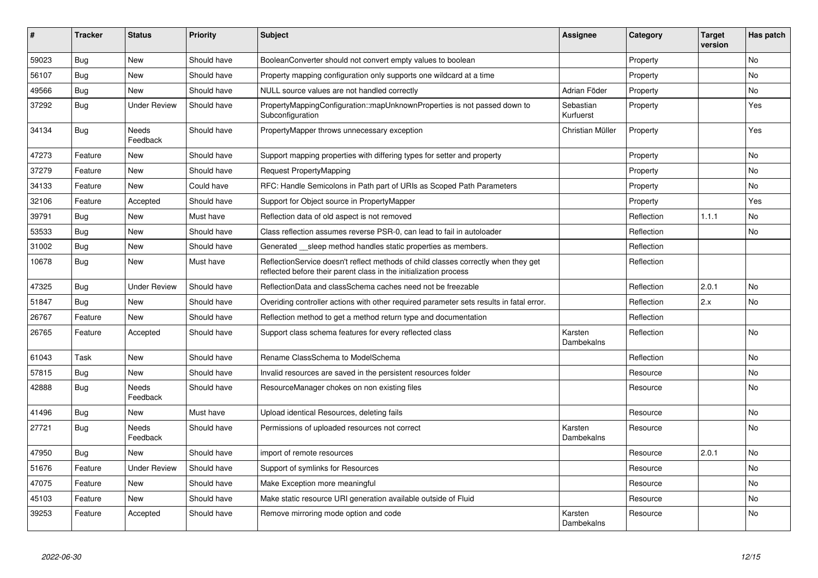| #     | <b>Tracker</b> | <b>Status</b>            | <b>Priority</b> | <b>Subject</b>                                                                                                                                          | <b>Assignee</b>        | Category   | <b>Target</b><br>version | Has patch      |
|-------|----------------|--------------------------|-----------------|---------------------------------------------------------------------------------------------------------------------------------------------------------|------------------------|------------|--------------------------|----------------|
| 59023 | Bug            | <b>New</b>               | Should have     | BooleanConverter should not convert empty values to boolean                                                                                             |                        | Property   |                          | N <sub>o</sub> |
| 56107 | Bug            | New                      | Should have     | Property mapping configuration only supports one wildcard at a time                                                                                     |                        | Property   |                          | No             |
| 49566 | Bug            | New                      | Should have     | NULL source values are not handled correctly                                                                                                            | Adrian Föder           | Property   |                          | No             |
| 37292 | <b>Bug</b>     | <b>Under Review</b>      | Should have     | PropertyMappingConfiguration::mapUnknownProperties is not passed down to<br>Subconfiguration                                                            | Sebastian<br>Kurfuerst | Property   |                          | Yes            |
| 34134 | <b>Bug</b>     | Needs<br>Feedback        | Should have     | PropertyMapper throws unnecessary exception                                                                                                             | Christian Müller       | Property   |                          | <b>Yes</b>     |
| 47273 | Feature        | <b>New</b>               | Should have     | Support mapping properties with differing types for setter and property                                                                                 |                        | Property   |                          | No             |
| 37279 | Feature        | <b>New</b>               | Should have     | <b>Request PropertyMapping</b>                                                                                                                          |                        | Property   |                          | No             |
| 34133 | Feature        | New                      | Could have      | RFC: Handle Semicolons in Path part of URIs as Scoped Path Parameters                                                                                   |                        | Property   |                          | <b>No</b>      |
| 32106 | Feature        | Accepted                 | Should have     | Support for Object source in PropertyMapper                                                                                                             |                        | Property   |                          | Yes            |
| 39791 | Bug            | New                      | Must have       | Reflection data of old aspect is not removed                                                                                                            |                        | Reflection | 1.1.1                    | No             |
| 53533 | Bug            | <b>New</b>               | Should have     | Class reflection assumes reverse PSR-0, can lead to fail in autoloader                                                                                  |                        | Reflection |                          | No             |
| 31002 | Bug            | New                      | Should have     | Generated sleep method handles static properties as members.                                                                                            |                        | Reflection |                          |                |
| 10678 | <b>Bug</b>     | <b>New</b>               | Must have       | ReflectionService doesn't reflect methods of child classes correctly when they get<br>reflected before their parent class in the initialization process |                        | Reflection |                          |                |
| 47325 | Bug            | <b>Under Review</b>      | Should have     | ReflectionData and classSchema caches need not be freezable                                                                                             |                        | Reflection | 2.0.1                    | <b>No</b>      |
| 51847 | Bug            | New                      | Should have     | Overiding controller actions with other required parameter sets results in fatal error.                                                                 |                        | Reflection | 2.x                      | <b>No</b>      |
| 26767 | Feature        | <b>New</b>               | Should have     | Reflection method to get a method return type and documentation                                                                                         |                        | Reflection |                          |                |
| 26765 | Feature        | Accepted                 | Should have     | Support class schema features for every reflected class                                                                                                 | Karsten<br>Dambekalns  | Reflection |                          | <b>No</b>      |
| 61043 | Task           | <b>New</b>               | Should have     | Rename ClassSchema to ModelSchema                                                                                                                       |                        | Reflection |                          | <b>No</b>      |
| 57815 | Bug            | New                      | Should have     | Invalid resources are saved in the persistent resources folder                                                                                          |                        | Resource   |                          | No             |
| 42888 | <b>Bug</b>     | <b>Needs</b><br>Feedback | Should have     | ResourceManager chokes on non existing files                                                                                                            |                        | Resource   |                          | <b>No</b>      |
| 41496 | Bug            | <b>New</b>               | Must have       | Upload identical Resources, deleting fails                                                                                                              |                        | Resource   |                          | No             |
| 27721 | <b>Bug</b>     | Needs<br>Feedback        | Should have     | Permissions of uploaded resources not correct                                                                                                           | Karsten<br>Dambekalns  | Resource   |                          | <b>No</b>      |
| 47950 | Bug            | New                      | Should have     | import of remote resources                                                                                                                              |                        | Resource   | 2.0.1                    | No             |
| 51676 | Feature        | <b>Under Review</b>      | Should have     | Support of symlinks for Resources                                                                                                                       |                        | Resource   |                          | <b>No</b>      |
| 47075 | Feature        | <b>New</b>               | Should have     | Make Exception more meaningful                                                                                                                          |                        | Resource   |                          | <b>No</b>      |
| 45103 | Feature        | <b>New</b>               | Should have     | Make static resource URI generation available outside of Fluid                                                                                          |                        | Resource   |                          | <b>No</b>      |
| 39253 | Feature        | Accepted                 | Should have     | Remove mirroring mode option and code                                                                                                                   | Karsten<br>Dambekalns  | Resource   |                          | No             |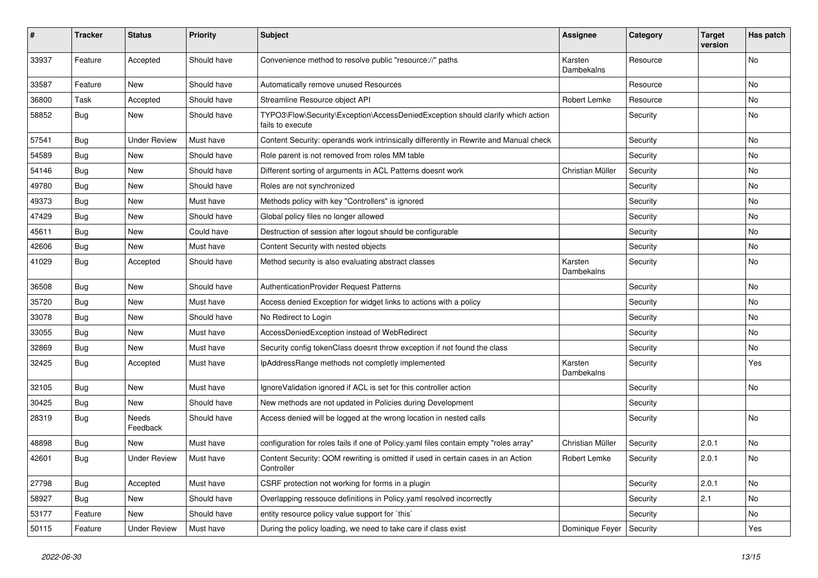| #     | <b>Tracker</b> | <b>Status</b>       | <b>Priority</b> | <b>Subject</b>                                                                                      | <b>Assignee</b>       | Category | <b>Target</b><br>version | Has patch |
|-------|----------------|---------------------|-----------------|-----------------------------------------------------------------------------------------------------|-----------------------|----------|--------------------------|-----------|
| 33937 | Feature        | Accepted            | Should have     | Convenience method to resolve public "resource://" paths                                            | Karsten<br>Dambekalns | Resource |                          | No        |
| 33587 | Feature        | New                 | Should have     | Automatically remove unused Resources                                                               |                       | Resource |                          | No        |
| 36800 | Task           | Accepted            | Should have     | Streamline Resource object API                                                                      | Robert Lemke          | Resource |                          | No        |
| 58852 | Bug            | New                 | Should have     | TYPO3\Flow\Security\Exception\AccessDeniedException should clarify which action<br>fails to execute |                       | Security |                          | No        |
| 57541 | Bug            | <b>Under Review</b> | Must have       | Content Security: operands work intrinsically differently in Rewrite and Manual check               |                       | Security |                          | No        |
| 54589 | Bug            | New                 | Should have     | Role parent is not removed from roles MM table                                                      |                       | Security |                          | No        |
| 54146 | Bug            | New                 | Should have     | Different sorting of arguments in ACL Patterns doesnt work                                          | Christian Müller      | Security |                          | No        |
| 49780 | Bug            | New                 | Should have     | Roles are not synchronized                                                                          |                       | Security |                          | No        |
| 49373 | <b>Bug</b>     | New                 | Must have       | Methods policy with key "Controllers" is ignored                                                    |                       | Security |                          | No        |
| 47429 | Bug            | <b>New</b>          | Should have     | Global policy files no longer allowed                                                               |                       | Security |                          | No        |
| 45611 | Bug            | New                 | Could have      | Destruction of session after logout should be configurable                                          |                       | Security |                          | No        |
| 42606 | Bug            | New                 | Must have       | Content Security with nested objects                                                                |                       | Security |                          | <b>No</b> |
| 41029 | <b>Bug</b>     | Accepted            | Should have     | Method security is also evaluating abstract classes                                                 | Karsten<br>Dambekalns | Security |                          | No        |
| 36508 | Bug            | New                 | Should have     | AuthenticationProvider Request Patterns                                                             |                       | Security |                          | No        |
| 35720 | Bug            | <b>New</b>          | Must have       | Access denied Exception for widget links to actions with a policy                                   |                       | Security |                          | No        |
| 33078 | Bug            | New                 | Should have     | No Redirect to Login                                                                                |                       | Security |                          | No        |
| 33055 | Bug            | New                 | Must have       | AccessDeniedException instead of WebRedirect                                                        |                       | Security |                          | No        |
| 32869 | <b>Bug</b>     | New                 | Must have       | Security config tokenClass doesnt throw exception if not found the class                            |                       | Security |                          | No        |
| 32425 | Bug            | Accepted            | Must have       | IpAddressRange methods not completly implemented                                                    | Karsten<br>Dambekalns | Security |                          | Yes       |
| 32105 | Bug            | New                 | Must have       | IgnoreValidation ignored if ACL is set for this controller action                                   |                       | Security |                          | No        |
| 30425 | Bug            | New                 | Should have     | New methods are not updated in Policies during Development                                          |                       | Security |                          |           |
| 28319 | <b>Bug</b>     | Needs<br>Feedback   | Should have     | Access denied will be logged at the wrong location in nested calls                                  |                       | Security |                          | No        |
| 48898 | Bug            | <b>New</b>          | Must have       | configuration for roles fails if one of Policy yaml files contain empty "roles array"               | Christian Müller      | Security | 2.0.1                    | No        |
| 42601 | Bug            | <b>Under Review</b> | Must have       | Content Security: QOM rewriting is omitted if used in certain cases in an Action<br>Controller      | Robert Lemke          | Security | 2.0.1                    | No        |
| 27798 | Bug            | Accepted            | Must have       | CSRF protection not working for forms in a plugin                                                   |                       | Security | 2.0.1                    | No        |
| 58927 | <b>Bug</b>     | New                 | Should have     | Overlapping ressouce definitions in Policy yaml resolved incorrectly                                |                       | Security | 2.1                      | No        |
| 53177 | Feature        | New                 | Should have     | entity resource policy value support for `this`                                                     |                       | Security |                          | No        |
| 50115 | Feature        | <b>Under Review</b> | Must have       | During the policy loading, we need to take care if class exist                                      | Dominique Feyer       | Security |                          | Yes       |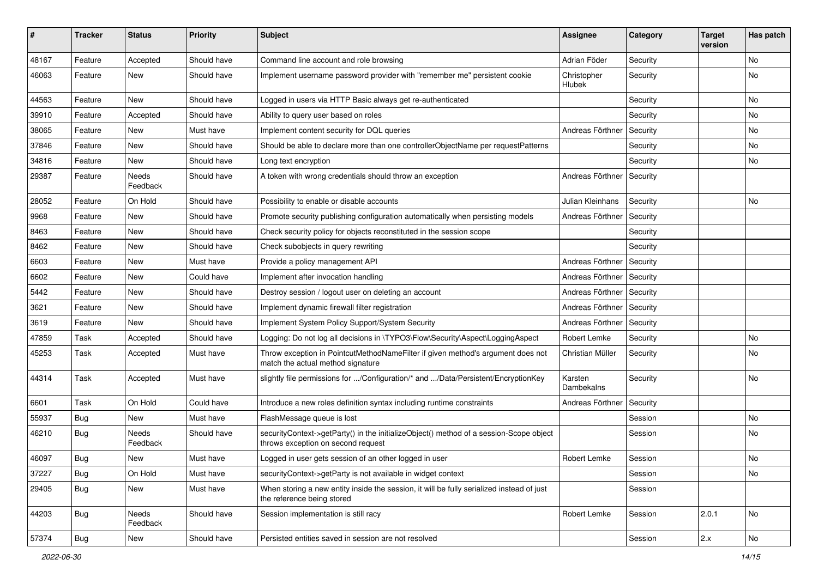| #     | <b>Tracker</b> | <b>Status</b>            | <b>Priority</b> | <b>Subject</b>                                                                                                               | <b>Assignee</b>       | Category | <b>Target</b><br>version | Has patch     |
|-------|----------------|--------------------------|-----------------|------------------------------------------------------------------------------------------------------------------------------|-----------------------|----------|--------------------------|---------------|
| 48167 | Feature        | Accepted                 | Should have     | Command line account and role browsing                                                                                       | Adrian Föder          | Security |                          | No            |
| 46063 | Feature        | New                      | Should have     | Implement username password provider with "remember me" persistent cookie                                                    | Christopher<br>Hlubek | Security |                          | No            |
| 44563 | Feature        | <b>New</b>               | Should have     | Logged in users via HTTP Basic always get re-authenticated                                                                   |                       | Security |                          | <b>No</b>     |
| 39910 | Feature        | Accepted                 | Should have     | Ability to query user based on roles                                                                                         |                       | Security |                          | No            |
| 38065 | Feature        | New                      | Must have       | Implement content security for DQL queries                                                                                   | Andreas Förthner      | Security |                          | <b>No</b>     |
| 37846 | Feature        | New                      | Should have     | Should be able to declare more than one controllerObjectName per requestPatterns                                             |                       | Security |                          | No            |
| 34816 | Feature        | New                      | Should have     | Long text encryption                                                                                                         |                       | Security |                          | No            |
| 29387 | Feature        | Needs<br>Feedback        | Should have     | A token with wrong credentials should throw an exception                                                                     | Andreas Förthner      | Security |                          |               |
| 28052 | Feature        | On Hold                  | Should have     | Possibility to enable or disable accounts                                                                                    | Julian Kleinhans      | Security |                          | No            |
| 9968  | Feature        | New                      | Should have     | Promote security publishing configuration automatically when persisting models                                               | Andreas Förthner      | Security |                          |               |
| 8463  | Feature        | New                      | Should have     | Check security policy for objects reconstituted in the session scope                                                         |                       | Security |                          |               |
| 8462  | Feature        | New                      | Should have     | Check subobjects in query rewriting                                                                                          |                       | Security |                          |               |
| 6603  | Feature        | New                      | Must have       | Provide a policy management API                                                                                              | Andreas Förthner      | Security |                          |               |
| 6602  | Feature        | New                      | Could have      | Implement after invocation handling                                                                                          | Andreas Förthner      | Security |                          |               |
| 5442  | Feature        | New                      | Should have     | Destroy session / logout user on deleting an account                                                                         | Andreas Förthner      | Security |                          |               |
| 3621  | Feature        | New                      | Should have     | Implement dynamic firewall filter registration                                                                               | Andreas Förthner      | Security |                          |               |
| 3619  | Feature        | New                      | Should have     | Implement System Policy Support/System Security                                                                              | Andreas Förthner      | Security |                          |               |
| 47859 | Task           | Accepted                 | Should have     | Logging: Do not log all decisions in \TYPO3\Flow\Security\Aspect\LoggingAspect                                               | Robert Lemke          | Security |                          | No            |
| 45253 | Task           | Accepted                 | Must have       | Throw exception in PointcutMethodNameFilter if given method's argument does not<br>match the actual method signature         | Christian Müller      | Security |                          | No            |
| 44314 | Task           | Accepted                 | Must have       | slightly file permissions for /Configuration/* and /Data/Persistent/EncryptionKey                                            | Karsten<br>Dambekalns | Security |                          | No            |
| 6601  | Task           | On Hold                  | Could have      | Introduce a new roles definition syntax including runtime constraints                                                        | Andreas Förthner      | Security |                          |               |
| 55937 | <b>Bug</b>     | New                      | Must have       | FlashMessage queue is lost                                                                                                   |                       | Session  |                          | No            |
| 46210 | <b>Bug</b>     | <b>Needs</b><br>Feedback | Should have     | securityContext->getParty() in the initializeObject() method of a session-Scope object<br>throws exception on second request |                       | Session  |                          | No            |
| 46097 | Bug            | New                      | Must have       | Logged in user gets session of an other logged in user                                                                       | Robert Lemke          | Session  |                          | No            |
| 37227 | Bug            | On Hold                  | Must have       | securityContext->getParty is not available in widget context                                                                 |                       | Session  |                          | No            |
| 29405 | Bug            | New                      | Must have       | When storing a new entity inside the session, it will be fully serialized instead of just<br>the reference being stored      |                       | Session  |                          |               |
| 44203 | <b>Bug</b>     | Needs<br>Feedback        | Should have     | Session implementation is still racy                                                                                         | Robert Lemke          | Session  | 2.0.1                    | No            |
| 57374 | <b>Bug</b>     | New                      | Should have     | Persisted entities saved in session are not resolved                                                                         |                       | Session  | $2.x$                    | $\mathsf{No}$ |